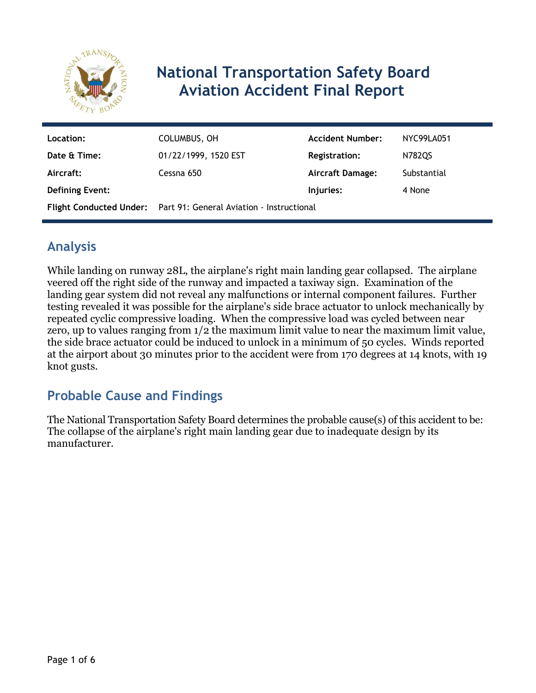

# **National Transportation Safety Board Aviation Accident Final Report**

| Location:              | COLUMBUS, OH                                                      | <b>Accident Number:</b> | NYC99LA051  |
|------------------------|-------------------------------------------------------------------|-------------------------|-------------|
| Date & Time:           | 01/22/1999, 1520 EST                                              | <b>Registration:</b>    | N782QS      |
| Aircraft:              | Cessna 650                                                        | Aircraft Damage:        | Substantial |
| <b>Defining Event:</b> |                                                                   | Injuries:               | 4 None      |
|                        | Flight Conducted Under: Part 91: General Aviation - Instructional |                         |             |

# **Analysis**

While landing on runway 28L, the airplane's right main landing gear collapsed. The airplane veered off the right side of the runway and impacted a taxiway sign. Examination of the landing gear system did not reveal any malfunctions or internal component failures. Further testing revealed it was possible for the airplane's side brace actuator to unlock mechanically by repeated cyclic compressive loading. When the compressive load was cycled between near zero, up to values ranging from 1/2 the maximum limit value to near the maximum limit value, the side brace actuator could be induced to unlock in a minimum of 50 cycles. Winds reported at the airport about 30 minutes prior to the accident were from 170 degrees at 14 knots, with 19 knot gusts.

## **Probable Cause and Findings**

The National Transportation Safety Board determines the probable cause(s) of this accident to be: The collapse of the airplane's right main landing gear due to inadequate design by its manufacturer.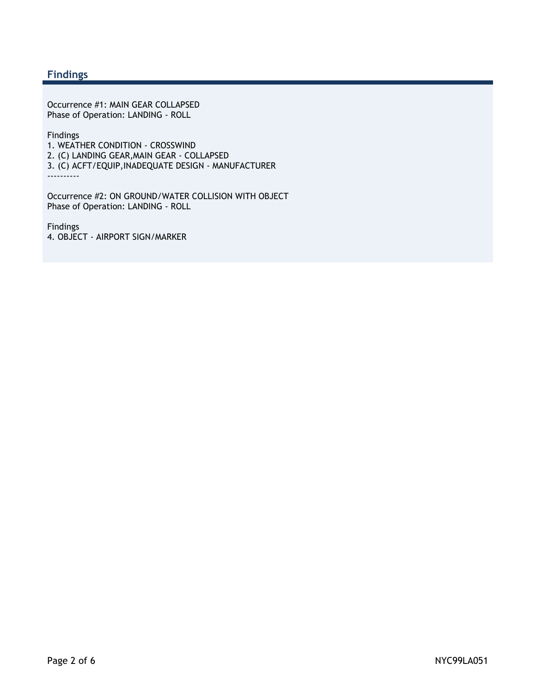### **Findings**

Occurrence #1: MAIN GEAR COLLAPSED Phase of Operation: LANDING - ROLL

Findings

- 1. WEATHER CONDITION CROSSWIND
- 2. (C) LANDING GEAR,MAIN GEAR COLLAPSED
- 3. (C) ACFT/EQUIP,INADEQUATE DESIGN MANUFACTURER

----------

Occurrence #2: ON GROUND/WATER COLLISION WITH OBJECT Phase of Operation: LANDING - ROLL

Findings 4. OBJECT - AIRPORT SIGN/MARKER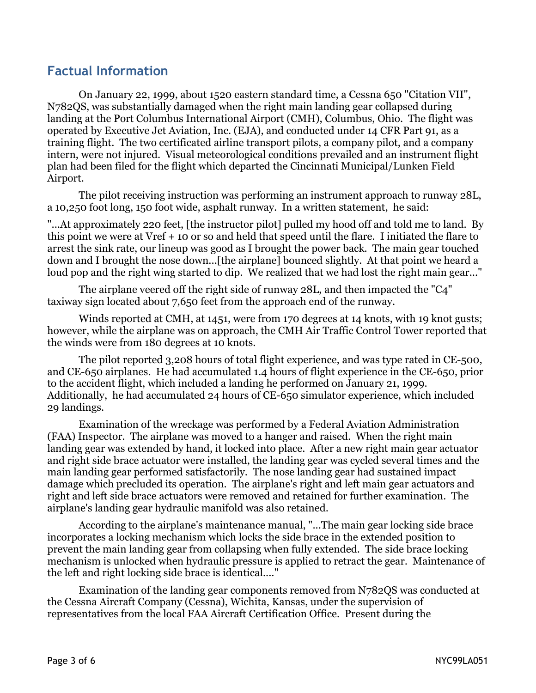### **Factual Information**

 On January 22, 1999, about 1520 eastern standard time, a Cessna 650 "Citation VII", N782QS, was substantially damaged when the right main landing gear collapsed during landing at the Port Columbus International Airport (CMH), Columbus, Ohio. The flight was operated by Executive Jet Aviation, Inc. (EJA), and conducted under 14 CFR Part 91, as a training flight. The two certificated airline transport pilots, a company pilot, and a company intern, were not injured. Visual meteorological conditions prevailed and an instrument flight plan had been filed for the flight which departed the Cincinnati Municipal/Lunken Field Airport.

The pilot receiving instruction was performing an instrument approach to runway 28L, a 10,250 foot long, 150 foot wide, asphalt runway. In a written statement, he said:

"...At approximately 220 feet, [the instructor pilot] pulled my hood off and told me to land. By this point we were at Vref + 10 or so and held that speed until the flare. I initiated the flare to arrest the sink rate, our lineup was good as I brought the power back. The main gear touched down and I brought the nose down...[the airplane] bounced slightly. At that point we heard a loud pop and the right wing started to dip. We realized that we had lost the right main gear..."

The airplane veered off the right side of runway 28L, and then impacted the "C4" taxiway sign located about 7,650 feet from the approach end of the runway.

Winds reported at CMH, at 1451, were from 170 degrees at 14 knots, with 19 knot gusts; however, while the airplane was on approach, the CMH Air Traffic Control Tower reported that the winds were from 180 degrees at 10 knots.

The pilot reported 3,208 hours of total flight experience, and was type rated in CE-500, and CE-650 airplanes. He had accumulated 1.4 hours of flight experience in the CE-650, prior to the accident flight, which included a landing he performed on January 21, 1999. Additionally, he had accumulated 24 hours of CE-650 simulator experience, which included 29 landings.

Examination of the wreckage was performed by a Federal Aviation Administration (FAA) Inspector. The airplane was moved to a hanger and raised. When the right main landing gear was extended by hand, it locked into place. After a new right main gear actuator and right side brace actuator were installed, the landing gear was cycled several times and the main landing gear performed satisfactorily. The nose landing gear had sustained impact damage which precluded its operation. The airplane's right and left main gear actuators and right and left side brace actuators were removed and retained for further examination. The airplane's landing gear hydraulic manifold was also retained.

According to the airplane's maintenance manual, "...The main gear locking side brace incorporates a locking mechanism which locks the side brace in the extended position to prevent the main landing gear from collapsing when fully extended. The side brace locking mechanism is unlocked when hydraulic pressure is applied to retract the gear. Maintenance of the left and right locking side brace is identical...."

Examination of the landing gear components removed from N782QS was conducted at the Cessna Aircraft Company (Cessna), Wichita, Kansas, under the supervision of representatives from the local FAA Aircraft Certification Office. Present during the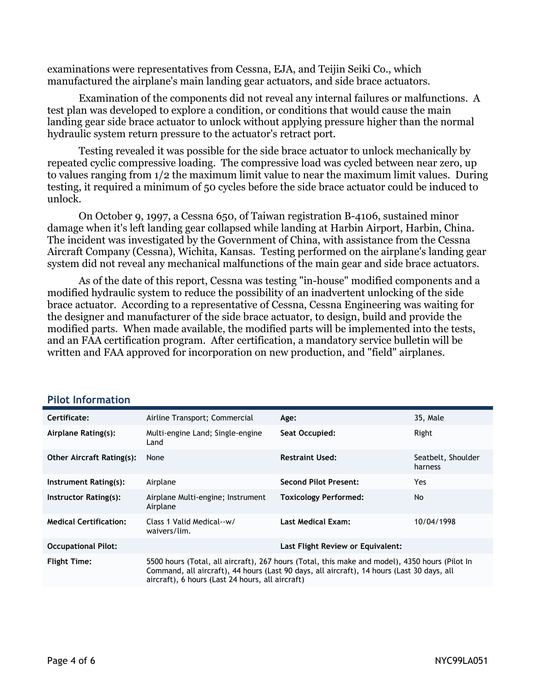examinations were representatives from Cessna, EJA, and Teijin Seiki Co., which manufactured the airplane's main landing gear actuators, and side brace actuators.

Examination of the components did not reveal any internal failures or malfunctions. A test plan was developed to explore a condition, or conditions that would cause the main landing gear side brace actuator to unlock without applying pressure higher than the normal hydraulic system return pressure to the actuator's retract port.

Testing revealed it was possible for the side brace actuator to unlock mechanically by repeated cyclic compressive loading. The compressive load was cycled between near zero, up to values ranging from 1/2 the maximum limit value to near the maximum limit values. During testing, it required a minimum of 50 cycles before the side brace actuator could be induced to unlock.

On October 9, 1997, a Cessna 650, of Taiwan registration B-4106, sustained minor damage when it's left landing gear collapsed while landing at Harbin Airport, Harbin, China. The incident was investigated by the Government of China, with assistance from the Cessna Aircraft Company (Cessna), Wichita, Kansas. Testing performed on the airplane's landing gear system did not reveal any mechanical malfunctions of the main gear and side brace actuators.

As of the date of this report, Cessna was testing "in-house" modified components and a modified hydraulic system to reduce the possibility of an inadvertent unlocking of the side brace actuator. According to a representative of Cessna, Cessna Engineering was waiting for the designer and manufacturer of the side brace actuator, to design, build and provide the modified parts. When made available, the modified parts will be implemented into the tests, and an FAA certification program. After certification, a mandatory service bulletin will be written and FAA approved for incorporation on new production, and "field" airplanes.

| Certificate:                     | Airline Transport; Commercial                                                                                                                                                                                                                    | Age:                              | 35, Male                      |
|----------------------------------|--------------------------------------------------------------------------------------------------------------------------------------------------------------------------------------------------------------------------------------------------|-----------------------------------|-------------------------------|
| Airplane Rating(s):              | Multi-engine Land; Single-engine<br>Land                                                                                                                                                                                                         | Seat Occupied:                    | Right                         |
| <b>Other Aircraft Rating(s):</b> | None                                                                                                                                                                                                                                             | <b>Restraint Used:</b>            | Seatbelt, Shoulder<br>harness |
| Instrument Rating(s):            | Airplane                                                                                                                                                                                                                                         | <b>Second Pilot Present:</b>      | Yes.                          |
| Instructor Rating(s):            | Airplane Multi-engine; Instrument<br>Airplane                                                                                                                                                                                                    | <b>Toxicology Performed:</b>      | <b>No</b>                     |
| <b>Medical Certification:</b>    | Class 1 Valid Medical--w/<br>waivers/lim.                                                                                                                                                                                                        | <b>Last Medical Exam:</b>         | 10/04/1998                    |
| <b>Occupational Pilot:</b>       |                                                                                                                                                                                                                                                  | Last Flight Review or Equivalent: |                               |
| <b>Flight Time:</b>              | 5500 hours (Total, all aircraft), 267 hours (Total, this make and model), 4350 hours (Pilot In<br>Command, all aircraft), 44 hours (Last 90 days, all aircraft), 14 hours (Last 30 days, all<br>aircraft), 6 hours (Last 24 hours, all aircraft) |                                   |                               |

#### **Pilot Information**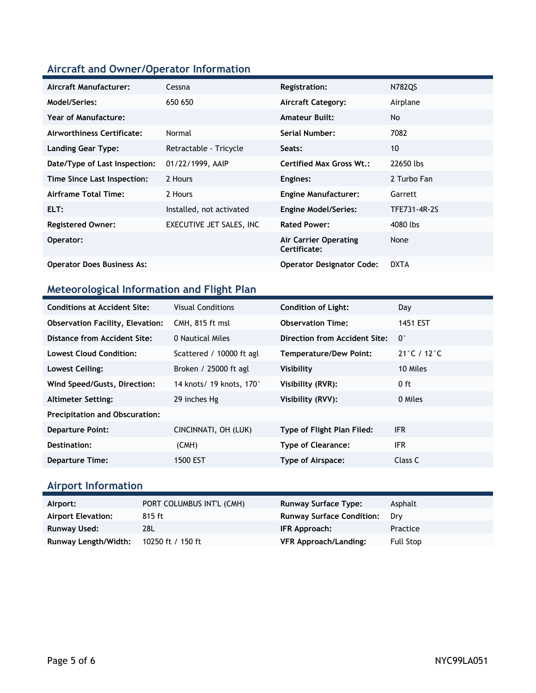### **Aircraft and Owner/Operator Information**

| Aircraft Manufacturer:            | Cessna                   | <b>Registration:</b>                  | N782QS       |
|-----------------------------------|--------------------------|---------------------------------------|--------------|
| Model/Series:                     | 650 650                  | <b>Aircraft Category:</b>             | Airplane     |
| Year of Manufacture:              |                          | <b>Amateur Built:</b>                 | <b>No</b>    |
| Airworthiness Certificate:        | Normal                   | Serial Number:                        | 7082         |
| <b>Landing Gear Type:</b>         | Retractable - Tricycle   | Seats:                                | 10           |
| Date/Type of Last Inspection:     | 01/22/1999, AAIP         | Certified Max Gross Wt.:              | 22650 lbs    |
| Time Since Last Inspection:       | 2 Hours                  | Engines:                              | 2 Turbo Fan  |
| Airframe Total Time:              | 2 Hours                  | <b>Engine Manufacturer:</b>           | Garrett      |
| ELT:                              | Installed, not activated | <b>Engine Model/Series:</b>           | TFE731-4R-2S |
| <b>Registered Owner:</b>          | EXECUTIVE JET SALES, INC | <b>Rated Power:</b>                   | 4080 lbs     |
| Operator:                         |                          | Air Carrier Operating<br>Certificate: | None         |
| <b>Operator Does Business As:</b> |                          | <b>Operator Designator Code:</b>      | <b>DXTA</b>  |

### **Meteorological Information and Flight Plan**

| <b>Conditions at Accident Site:</b>     | <b>Visual Conditions</b> | <b>Condition of Light:</b>    | Day                              |
|-----------------------------------------|--------------------------|-------------------------------|----------------------------------|
| <b>Observation Facility, Elevation:</b> | CMH, 815 ft msl          | <b>Observation Time:</b>      | 1451 EST                         |
| Distance from Accident Site:            | 0 Nautical Miles         | Direction from Accident Site: | $0^{\circ}$                      |
| Lowest Cloud Condition:                 | Scattered / 10000 ft agl | <b>Temperature/Dew Point:</b> | $21^{\circ}$ C / 12 $^{\circ}$ C |
| Lowest Ceiling:                         | Broken / 25000 ft agl    | Visibility                    | 10 Miles                         |
| Wind Speed/Gusts, Direction:            | 14 knots/ 19 knots, 170° | Visibility (RVR):             | 0 ft                             |
| <b>Altimeter Setting:</b>               | 29 inches Hg             | Visibility (RVV):             | 0 Miles                          |
| <b>Precipitation and Obscuration:</b>   |                          |                               |                                  |
| <b>Departure Point:</b>                 | CINCINNATI, OH (LUK)     | Type of Flight Plan Filed:    | IFR.                             |
| Destination:                            | (CMH)                    | <b>Type of Clearance:</b>     | <b>IFR</b>                       |
| <b>Departure Time:</b>                  | 1500 EST                 | Type of Airspace:             | Class C                          |

# **Airport Information**

| Airport:                  | PORT COLUMBUS INT'L (CMH) | <b>Runway Surface Type:</b>      | Asphalt          |
|---------------------------|---------------------------|----------------------------------|------------------|
| <b>Airport Elevation:</b> | 815 ft                    | <b>Runway Surface Condition:</b> | Drv              |
| Runway Used:              | 28L                       | IFR Approach:                    | Practice         |
| Runway Length/Width:      | 10250 ft / 150 ft         | <b>VFR Approach/Landing:</b>     | <b>Full Stop</b> |